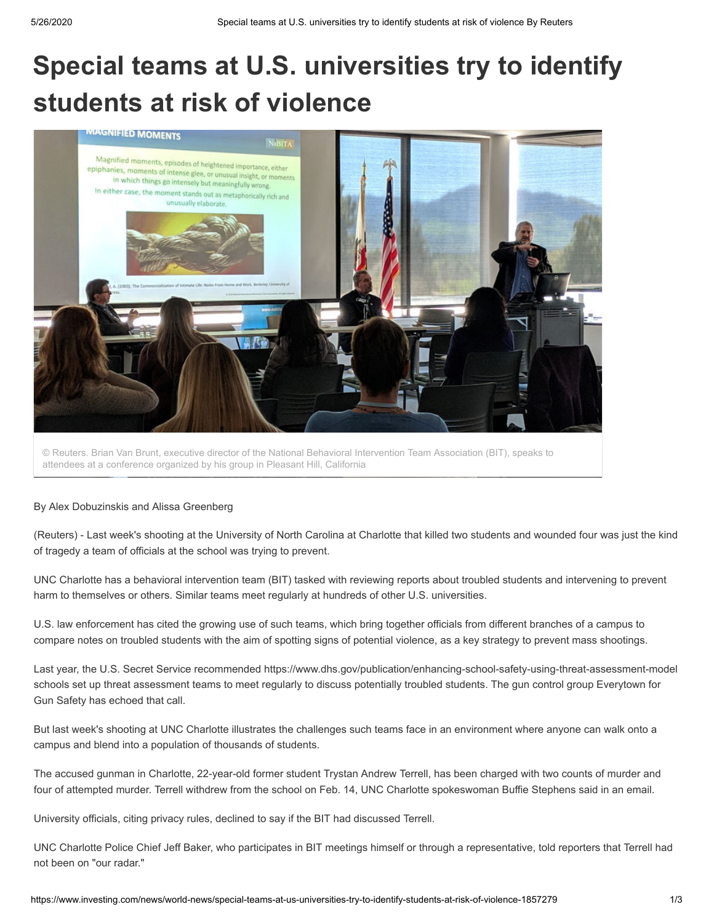# **Special teams at U.S. universities try to identify students at risk of violence**



© Reuters. Brian Van Brunt, executive director of the National Behavioral Intervention Team Association (BIT), speaks to attendees at a conference organized by his group in Pleasant Hill, California

### By Alex Dobuzinskis and Alissa Greenberg

(Reuters) - Last week's shooting at the University of North Carolina at Charlotte that killed two students and wounded four was just the kind of tragedy a team of officials at the school was trying to prevent.

UNC Charlotte has a behavioral intervention team (BIT) tasked with reviewing reports about troubled students and intervening to prevent harm to themselves or others. Similar teams meet regularly at hundreds of other U.S. universities.

U.S. law enforcement has cited the growing use of such teams, which bring together officials from different branches of a campus to compare notes on troubled students with the aim of spotting signs of potential violence, as a key strategy to prevent mass shootings.

Last year, the U.S. Secret Service recommended https://www.dhs.gov/publication/enhancing-school-safety-using-threat-assessment-model schools set up threat assessment teams to meet regularly to discuss potentially troubled students. The gun control group Everytown for Gun Safety has echoed that call.

But last week's shooting at UNC Charlotte illustrates the challenges such teams face in an environment where anyone can walk onto a campus and blend into a population of thousands of students.

The accused gunman in Charlotte, 22-year-old former student Trystan Andrew Terrell, has been charged with two counts of murder and four of attempted murder. Terrell withdrew from the school on Feb. 14, UNC Charlotte spokeswoman Buffie Stephens said in an email.

University officials, citing privacy rules, declined to say if the BIT had discussed Terrell.

UNC Charlotte Police Chief Jeff Baker, who participates in BIT meetings himself or through a representative, told reporters that Terrell had not been on "our radar."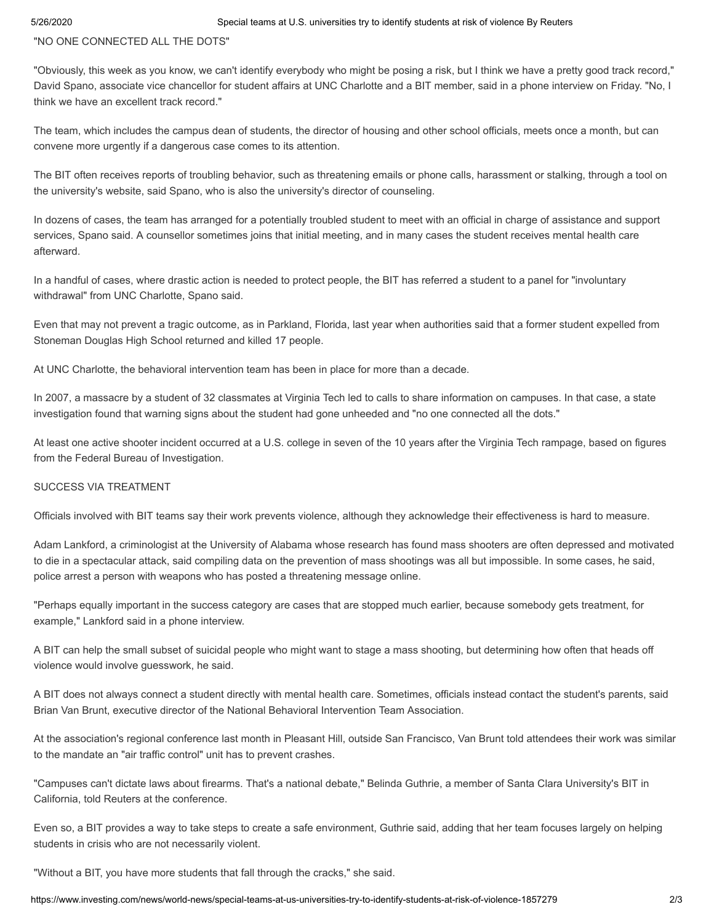## "NO ONE CONNECTED ALL THE DOTS"

"Obviously, this week as you know, we can't identify everybody who might be posing a risk, but I think we have a pretty good track record," David Spano, associate vice chancellor for student affairs at UNC Charlotte and a BIT member, said in a phone interview on Friday. "No, I think we have an excellent track record."

The team, which includes the campus dean of students, the director of housing and other school officials, meets once a month, but can convene more urgently if a dangerous case comes to its attention.

The BIT often receives reports of troubling behavior, such as threatening emails or phone calls, harassment or stalking, through a tool on the university's website, said Spano, who is also the university's director of counseling.

In dozens of cases, the team has arranged for a potentially troubled student to meet with an official in charge of assistance and support services, Spano said. A counsellor sometimes joins that initial meeting, and in many cases the student receives mental health care afterward.

In a handful of cases, where drastic action is needed to protect people, the BIT has referred a student to a panel for "involuntary withdrawal" from UNC Charlotte, Spano said.

Even that may not prevent a tragic outcome, as in Parkland, Florida, last year when authorities said that a former student expelled from Stoneman Douglas High School returned and killed 17 people.

At UNC Charlotte, the behavioral intervention team has been in place for more than a decade.

In 2007, a massacre by a student of 32 classmates at Virginia Tech led to calls to share information on campuses. In that case, a state investigation found that warning signs about the student had gone unheeded and "no one connected all the dots."

At least one active shooter incident occurred at a U.S. college in seven of the 10 years after the Virginia Tech rampage, based on figures from the Federal Bureau of Investigation.

# SUCCESS VIA TREATMENT

Officials involved with BIT teams say their work prevents violence, although they acknowledge their effectiveness is hard to measure.

Adam Lankford, a criminologist at the University of Alabama whose research has found mass shooters are often depressed and motivated to die in a spectacular attack, said compiling data on the prevention of mass shootings was all but impossible. In some cases, he said, police arrest a person with weapons who has posted a threatening message online.

"Perhaps equally important in the success category are cases that are stopped much earlier, because somebody gets treatment, for example," Lankford said in a phone interview.

A BIT can help the small subset of suicidal people who might want to stage a mass shooting, but determining how often that heads off violence would involve guesswork, he said.

A BIT does not always connect a student directly with mental health care. Sometimes, officials instead contact the student's parents, said Brian Van Brunt, executive director of the National Behavioral Intervention Team Association.

At the association's regional conference last month in Pleasant Hill, outside San Francisco, Van Brunt told attendees their work was similar to the mandate an "air traffic control" unit has to prevent crashes.

"Campuses can't dictate laws about firearms. That's a national debate," Belinda Guthrie, a member of Santa Clara University's BIT in California, told Reuters at the conference.

Even so, a BIT provides a way to take steps to create a safe environment, Guthrie said, adding that her team focuses largely on helping students in crisis who are not necessarily violent.

"Without a BIT, you have more students that fall through the cracks," she said.